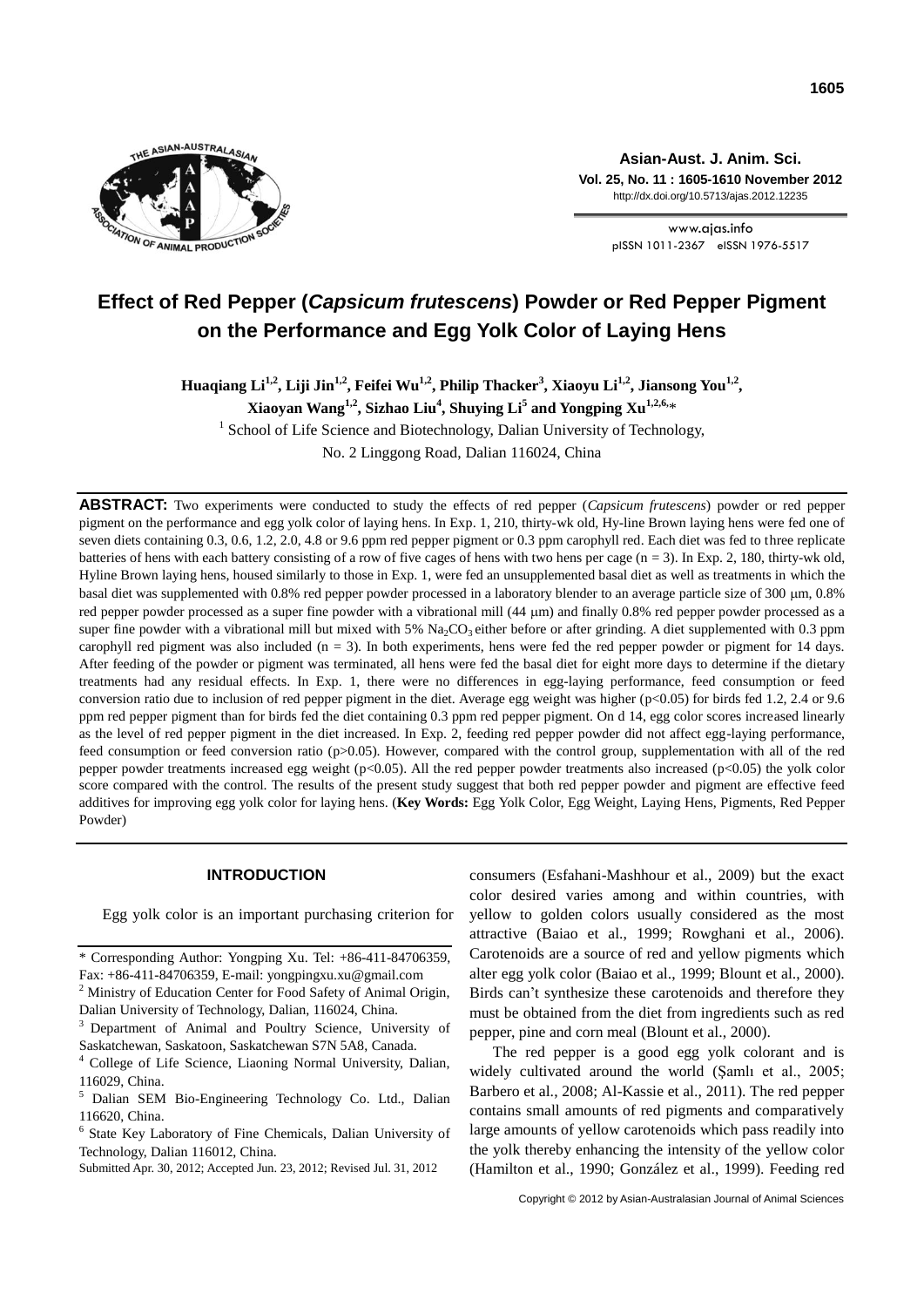

**Asian-Aust. J. Anim. Sci. Vol. 25, No. 11 : 1605-1610 November 2012** http://dx.doi.org/10.5713/ajas.2012.12235

> www.ajas.info pISSN 1011-2367 eISSN 1976-5517

# **Effect of Red Pepper (***Capsicum frutescens***) Powder or Red Pepper Pigment on the Performance and Egg Yolk Color of Laying Hens**

**Huaqiang Li1,2, Liji Jin1,2, Feifei Wu1,2, Philip Thacker<sup>3</sup> , Xiaoyu Li1,2, Jiansong You1,2 ,** 

**Xiaoyan Wang1,2 , Sizhao Liu<sup>4</sup> , Shuying Li<sup>5</sup> and Yongping Xu1,2,6,** \*

<sup>1</sup> School of Life Science and Biotechnology, Dalian University of Technology,

No. 2 Linggong Road, Dalian 116024, China

**ABSTRACT:** Two experiments were conducted to study the effects of red pepper (*Capsicum frutescens*) powder or red pepper pigment on the performance and egg yolk color of laying hens. In Exp. 1, 210, thirty-wk old, Hy-line Brown laying hens were fed one of seven diets containing 0.3, 0.6, 1.2, 2.0, 4.8 or 9.6 ppm red pepper pigment or 0.3 ppm carophyll red. Each diet was fed to three replicate batteries of hens with each battery consisting of a row of five cages of hens with two hens per cage (n = 3). In Exp. 2, 180, thirty-wk old, Hyline Brown laying hens, housed similarly to those in Exp. 1, were fed an unsupplemented basal diet as well as treatments in which the basal diet was supplemented with 0.8% red pepper powder processed in a laboratory blender to an average particle size of 300 µm, 0.8% red pepper powder processed as a super fine powder with a vibrational mill  $(44 \mu m)$  and finally 0.8% red pepper powder processed as a super fine powder with a vibrational mill but mixed with 5%  $Na<sub>2</sub>CO<sub>3</sub>$  either before or after grinding. A diet supplemented with 0.3 ppm carophyll red pigment was also included  $(n = 3)$ . In both experiments, hens were fed the red pepper powder or pigment for 14 days. After feeding of the powder or pigment was terminated, all hens were fed the basal diet for eight more days to determine if the dietary treatments had any residual effects. In Exp. 1, there were no differences in egg-laying performance, feed consumption or feed conversion ratio due to inclusion of red pepper pigment in the diet. Average egg weight was higher (p<0.05) for birds fed 1.2, 2.4 or 9.6 ppm red pepper pigment than for birds fed the diet containing 0.3 ppm red pepper pigment. On d 14, egg color scores increased linearly as the level of red pepper pigment in the diet increased. In Exp. 2, feeding red pepper powder did not affect egg-laying performance, feed consumption or feed conversion ratio (p>0.05). However, compared with the control group, supplementation with all of the red pepper powder treatments increased egg weight (p<0.05). All the red pepper powder treatments also increased (p<0.05) the yolk color score compared with the control. The results of the present study suggest that both red pepper powder and pigment are effective feed additives for improving egg yolk color for laying hens. (**Key Words:** Egg Yolk Color, Egg Weight, Laying Hens, Pigments, Red Pepper Powder)

# **INTRODUCTION**

Egg yolk color is an important purchasing criterion for

consumers (Esfahani-Mashhour et al., 2009) but the exact color desired varies among and within countries, with yellow to golden colors usually considered as the most attractive (Baiao et al., 1999; Rowghani et al., 2006). Carotenoids are a source of red and yellow pigments which alter egg yolk color (Baiao et al., 1999; Blount et al., 2000). Birds can't synthesize these carotenoids and therefore they must be obtained from the diet from ingredients such as red pepper, pine and corn meal (Blount et al., 2000).

The red pepper is a good egg yolk colorant and is widely cultivated around the world (Şamlı et al., 2005; Barbero et al., 2008; Al-Kassie et al., 2011). The red pepper contains small amounts of red pigments and comparatively large amounts of yellow carotenoids which pass readily into the yolk thereby enhancing the intensity of the yellow color (Hamilton et al., 1990; González et al., 1999). Feeding red

<sup>\*</sup> Corresponding Author: Yongping Xu. Tel: +86-411-84706359, Fax: +86-411-84706359, E-mail: yongpingxu.xu@gmail.com

<sup>&</sup>lt;sup>2</sup> Ministry of Education Center for Food Safety of Animal Origin, Dalian University of Technology, Dalian, 116024, China.

<sup>3</sup>Department of Animal and Poultry Science, University of Saskatchewan, Saskatoon, Saskatchewan S7N 5A8, Canada.

<sup>4</sup> College of Life Science, Liaoning Normal University, Dalian, 116029, China.

<sup>5</sup> Dalian SEM Bio-Engineering Technology Co. Ltd., Dalian 116620, China.

<sup>6</sup> State Key Laboratory of Fine Chemicals, Dalian University of Technology, Dalian 116012, China.

Submitted Apr. 30, 2012; Accepted Jun. 23, 2012; Revised Jul. 31, 2012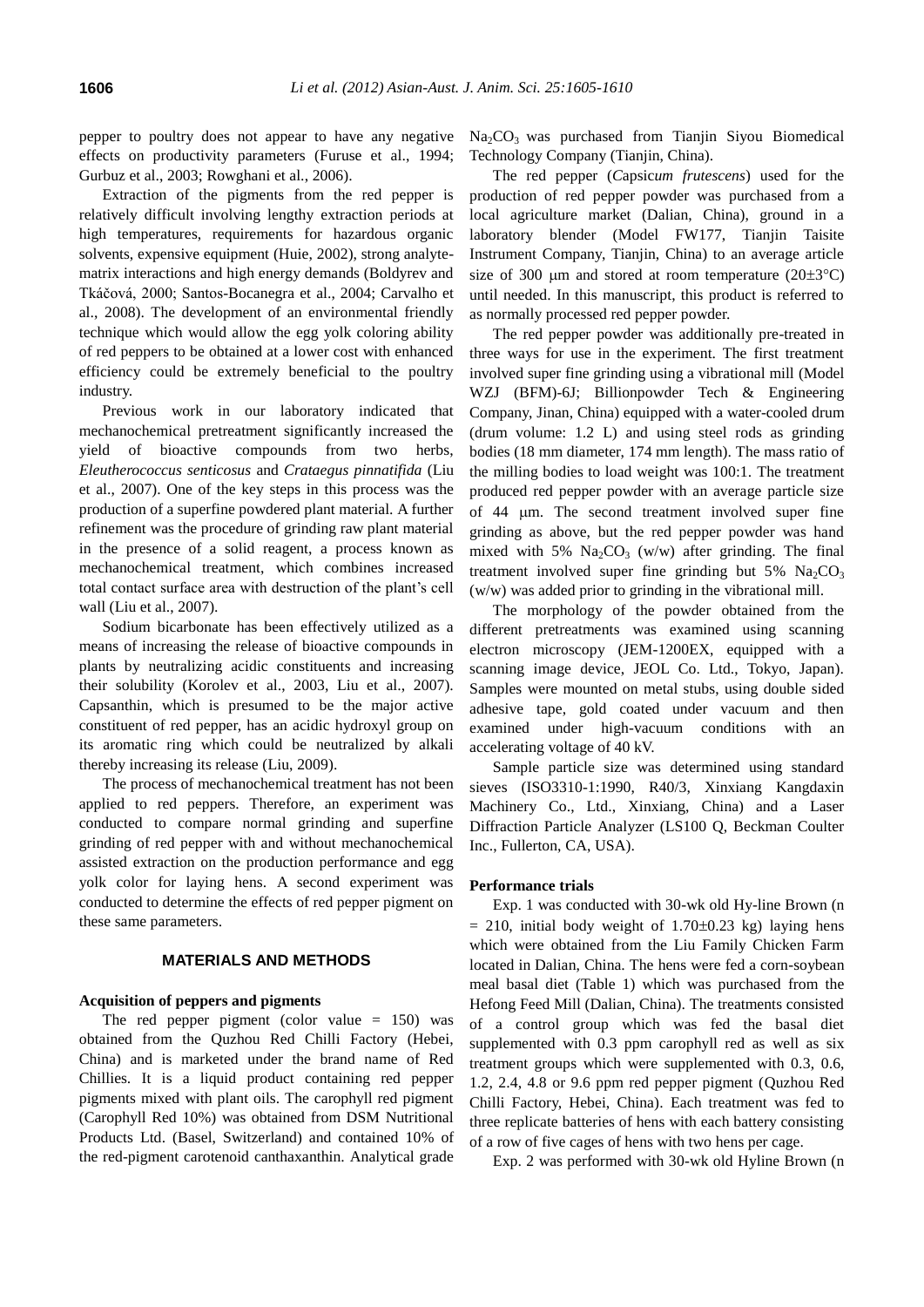pepper to poultry does not appear to have any negative effects on productivity parameters (Furuse et al., 1994; Gurbuz et al., 2003; Rowghani et al., 2006).

Extraction of the pigments from the red pepper is relatively difficult involving lengthy extraction periods at high temperatures, requirements for hazardous organic solvents, expensive equipment (Huie, 2002), strong analytematrix interactions and high energy demands (Boldyrev and Tkáčová, 2000; Santos-Bocanegra et al., 2004; Carvalho et al., 2008). The development of an environmental friendly technique which would allow the egg yolk coloring ability of red peppers to be obtained at a lower cost with enhanced efficiency could be extremely beneficial to the poultry industry.

Previous work in our laboratory indicated that mechanochemical pretreatment significantly increased the yield of bioactive compounds from two herbs, *Eleutherococcus senticosus* and *Crataegus pinnatifida* (Liu et al., 2007). One of the key steps in this process was the production of a superfine powdered plant material. A further refinement was the procedure of grinding raw plant material in the presence of a solid reagent, a process known as mechanochemical treatment, which combines increased total contact surface area with destruction of the plant's cell wall (Liu et al., 2007).

Sodium bicarbonate has been effectively utilized as a means of increasing the release of bioactive compounds in plants by neutralizing acidic constituents and increasing their solubility (Korolev et al., 2003, Liu et al., 2007). Capsanthin, which is presumed to be the major active constituent of red pepper, has an acidic hydroxyl group on its aromatic ring which could be neutralized by alkali thereby increasing its release (Liu, 2009).

The process of mechanochemical treatment has not been applied to red peppers. Therefore, an experiment was conducted to compare normal grinding and superfine grinding of red pepper with and without mechanochemical assisted extraction on the production performance and egg yolk color for laying hens. A second experiment was conducted to determine the effects of red pepper pigment on these same parameters.

# **MATERIALS AND METHODS**

### **Acquisition of peppers and pigments**

The red pepper pigment (color value  $= 150$ ) was obtained from the Quzhou Red Chilli Factory (Hebei, China) and is marketed under the brand name of Red Chillies. It is a liquid product containing red pepper pigments mixed with plant oils. The carophyll red pigment (Carophyll Red 10%) was obtained from DSM Nutritional Products Ltd. (Basel, Switzerland) and contained 10% of the red-pigment carotenoid canthaxanthin. Analytical grade

Na2CO3 was purchased from Tianjin Siyou Biomedical Technology Company (Tianjin, China).

The red pepper (*C*apsic*um frutescens*) used for the production of red pepper powder was purchased from a local agriculture market (Dalian, China), ground in a laboratory blender (Model FW177, Tianjin Taisite Instrument Company, Tianjin, China) to an average article size of 300  $\mu$ m and stored at room temperature (20 $\pm$ 3°C) until needed. In this manuscript, this product is referred to as normally processed red pepper powder.

The red pepper powder was additionally pre-treated in three ways for use in the experiment. The first treatment involved super fine grinding using a vibrational mill (Model WZJ (BFM)-6J; Billionpowder Tech & Engineering Company, Jinan, China) equipped with a water-cooled drum (drum volume: 1.2 L) and using steel rods as grinding bodies (18 mm diameter, 174 mm length). The mass ratio of the milling bodies to load weight was 100:1. The treatment produced red pepper powder with an average particle size of 44 m. The second treatment involved super fine grinding as above, but the red pepper powder was hand mixed with 5%  $Na<sub>2</sub>CO<sub>3</sub>$  (w/w) after grinding. The final treatment involved super fine grinding but  $5\%$  Na<sub>2</sub>CO<sub>3</sub> (w/w) was added prior to grinding in the vibrational mill.

The morphology of the powder obtained from the different pretreatments was examined using scanning electron microscopy (JEM-1200EX, equipped with a scanning image device, JEOL Co. Ltd., Tokyo, Japan). Samples were mounted on metal stubs, using double sided adhesive tape, gold coated under vacuum and then examined under high-vacuum conditions with an accelerating voltage of 40 kV.

Sample particle size was determined using standard sieves (ISO3310-1:1990, R40/3, Xinxiang Kangdaxin Machinery Co., Ltd., Xinxiang, China) and a Laser Diffraction Particle Analyzer (LS100 Q, Beckman Coulter Inc., Fullerton, CA, USA).

#### **Performance trials**

Exp. 1 was conducted with 30-wk old Hy-line Brown (n  $= 210$ , initial body weight of 1.70 $\pm$ 0.23 kg) laying hens which were obtained from the Liu Family Chicken Farm located in Dalian, China. The hens were fed a corn-soybean meal basal diet (Table 1) which was purchased from the Hefong Feed Mill (Dalian, China). The treatments consisted of a control group which was fed the basal diet supplemented with 0.3 ppm carophyll red as well as six treatment groups which were supplemented with 0.3, 0.6, 1.2, 2.4, 4.8 or 9.6 ppm red pepper pigment (Quzhou Red Chilli Factory, Hebei, China). Each treatment was fed to three replicate batteries of hens with each battery consisting of a row of five cages of hens with two hens per cage.

Exp. 2 was performed with 30-wk old Hyline Brown (n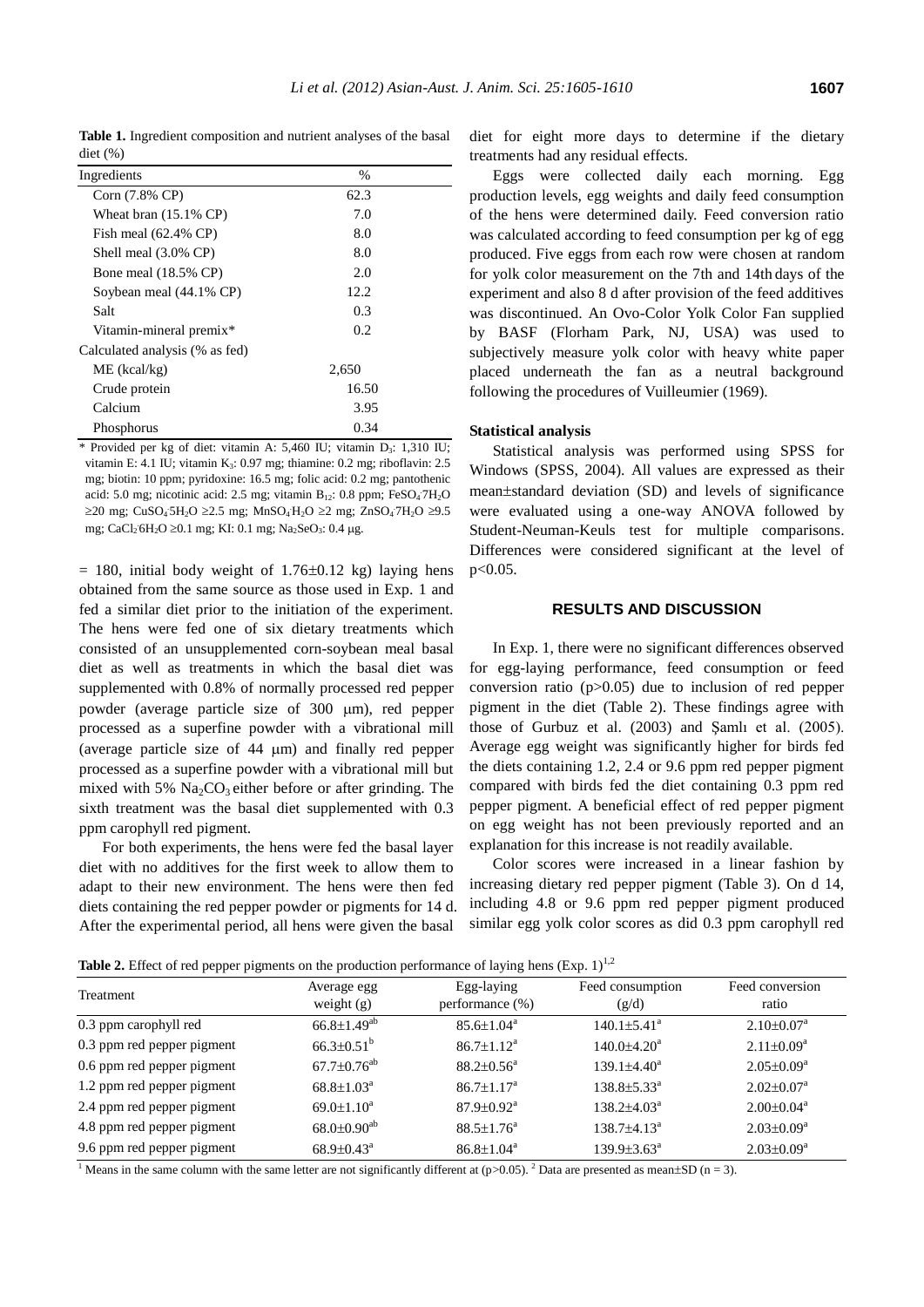**Table 1.** Ingredient composition and nutrient analyses of the basal diet (%)

| Ingredients                      | %     |
|----------------------------------|-------|
| Corn (7.8% CP)                   | 62.3  |
| Wheat bran $(15.1\% \text{ CP})$ | 7.0   |
| Fish meal $(62.4\% \text{ CP})$  | 8.0   |
| Shell meal $(3.0\% \text{ CP})$  | 8.0   |
| Bone meal $(18.5\% \text{ CP})$  | 2.0   |
| Soybean meal (44.1% CP)          | 12.2  |
| Salt                             | 0.3   |
| Vitamin-mineral premix*          | 0.2   |
| Calculated analysis (% as fed)   |       |
| $ME$ (kcal/kg)                   | 2,650 |
| Crude protein                    | 16.50 |
| Calcium                          | 3.95  |
| Phosphorus                       | 0.34  |

\* Provided per kg of diet: vitamin A: 5,460 IU; vitamin D3: 1,310 IU; vitamin E: 4.1 IU; vitamin K3: 0.97 mg; thiamine: 0.2 mg; riboflavin: 2.5 mg; biotin: 10 ppm; pyridoxine: 16.5 mg; folic acid: 0.2 mg; pantothenic acid: 5.0 mg; nicotinic acid: 2.5 mg; vitamin B<sub>12</sub>: 0.8 ppm; FeSO<sub>4</sub>7H<sub>2</sub>O  $\geq$ 20 mg; CuSO<sub>4</sub>5H<sub>2</sub>O ≥2.5 mg; MnSO<sub>4</sub>H<sub>2</sub>O ≥2 mg; ZnSO<sub>4</sub>7H<sub>2</sub>O ≥9.5 mg; CaCl<sub>2</sub> 6H<sub>2</sub>O ≥0.1 mg; KI: 0.1 mg; Na<sub>2</sub>SeO<sub>3</sub>: 0.4 µg.

 $= 180$ , initial body weight of 1.76 $\pm$ 0.12 kg) laying hens obtained from the same source as those used in Exp. 1 and fed a similar diet prior to the initiation of the experiment. The hens were fed one of six dietary treatments which consisted of an unsupplemented corn-soybean meal basal diet as well as treatments in which the basal diet was supplemented with 0.8% of normally processed red pepper powder (average particle size of 300 µm), red pepper processed as a superfine powder with a vibrational mill (average particle size of 44 m) and finally red pepper processed as a superfine powder with a vibrational mill but mixed with 5%  $Na<sub>2</sub>CO<sub>3</sub>$  either before or after grinding. The sixth treatment was the basal diet supplemented with 0.3 ppm carophyll red pigment.

For both experiments, the hens were fed the basal layer diet with no additives for the first week to allow them to adapt to their new environment. The hens were then fed diets containing the red pepper powder or pigments for 14 d. After the experimental period, all hens were given the basal

diet for eight more days to determine if the dietary treatments had any residual effects.

Eggs were collected daily each morning. Egg production levels, egg weights and daily feed consumption of the hens were determined daily. Feed conversion ratio was calculated according to feed consumption per kg of egg produced. Five eggs from each row were chosen at random for yolk color measurement on the 7th and 14th days of the experiment and also 8 d after provision of the feed additives was discontinued. An Ovo-Color Yolk Color Fan supplied by BASF (Florham Park, NJ, USA) was used to subjectively measure yolk color with heavy white paper placed underneath the fan as a neutral background following the procedures of Vuilleumier (1969).

## **Statistical analysis**

Statistical analysis was performed using SPSS for Windows (SPSS, 2004). All values are expressed as their mean $\pm$ standard deviation (SD) and levels of significance were evaluated using a one-way ANOVA followed by Student-Neuman-Keuls test for multiple comparisons. Differences were considered significant at the level of p<0.05.

## **RESULTS AND DISCUSSION**

In Exp. 1, there were no significant differences observed for egg-laying performance, feed consumption or feed conversion ratio (p>0.05) due to inclusion of red pepper pigment in the diet (Table 2). These findings agree with those of Gurbuz et al. (2003) and Şamlı et al. (2005). Average egg weight was significantly higher for birds fed the diets containing 1.2, 2.4 or 9.6 ppm red pepper pigment compared with birds fed the diet containing 0.3 ppm red pepper pigment. A beneficial effect of red pepper pigment on egg weight has not been previously reported and an explanation for this increase is not readily available.

Color scores were increased in a linear fashion by increasing dietary red pepper pigment (Table 3). On d 14, including 4.8 or 9.6 ppm red pepper pigment produced similar egg yolk color scores as did 0.3 ppm carophyll red

**Table 2.** Effect of red pepper pigments on the production performance of laying hens (Exp.  $1$ )<sup>1,2</sup>

| <b>Table 2.</b> Effect of fed pepper pignielius on the production performance of laying hens (EAP, 1) |                               |                              |                             |                            |
|-------------------------------------------------------------------------------------------------------|-------------------------------|------------------------------|-----------------------------|----------------------------|
| Treatment                                                                                             | Average egg                   | Egg-laying                   | Feed consumption            | Feed conversion            |
|                                                                                                       | weight $(g)$                  | performance (%)              | (g/d)                       | ratio                      |
| 0.3 ppm carophyll red                                                                                 | $66.8 \pm 1.49^{ab}$          | $85.6 \pm 1.04^{\text{a}}$   | $140.1 \pm 5.41^{\circ}$    | $2.10\pm0.07^{\rm a}$      |
| 0.3 ppm red pepper pigment                                                                            | $66.3 \pm 0.51^b$             | $86.7 \pm 1.12^a$            | $140.0 + 4.20a$             | $2.11 \pm 0.09^a$          |
| 0.6 ppm red pepper pigment                                                                            | $67.7 \pm 0.76$ <sup>ab</sup> | $88.2 \pm 0.56^{\circ}$      | $139.1 \pm 4.40^a$          | $2.05 \pm 0.09^a$          |
| 1.2 ppm red pepper pigment                                                                            | $68.8 \pm 1.03^{\circ}$       | $86.7 \pm 1.17^{\mathrm{a}}$ | $138.8 \pm 5.33^{\circ}$    | $2.02 \pm 0.07^{\text{a}}$ |
| 2.4 ppm red pepper pigment                                                                            | $69.0 \pm 1.10^a$             | $87.9 \pm 0.92$ <sup>a</sup> | $138.2{\pm}4.03^{\text{a}}$ | $2.00 \pm 0.04^{\text{a}}$ |
| 4.8 ppm red pepper pigment                                                                            | $68.0 \pm 0.90^{ab}$          | $88.5 \pm 1.76^{\circ}$      | $138.7\pm4.13^a$            | $2.03 \pm 0.09^a$          |
| 9.6 ppm red pepper pigment                                                                            | $68.9 \pm 0.43$ <sup>a</sup>  | $86.8 \pm 1.04^a$            | $139.9\pm3.63^{\mathrm{a}}$ | $2.03 \pm 0.09^a$          |

<sup>1</sup> Means in the same column with the same letter are not significantly different at (p>0.05). <sup>2</sup> Data are presented as mean $\pm$ SD (n = 3).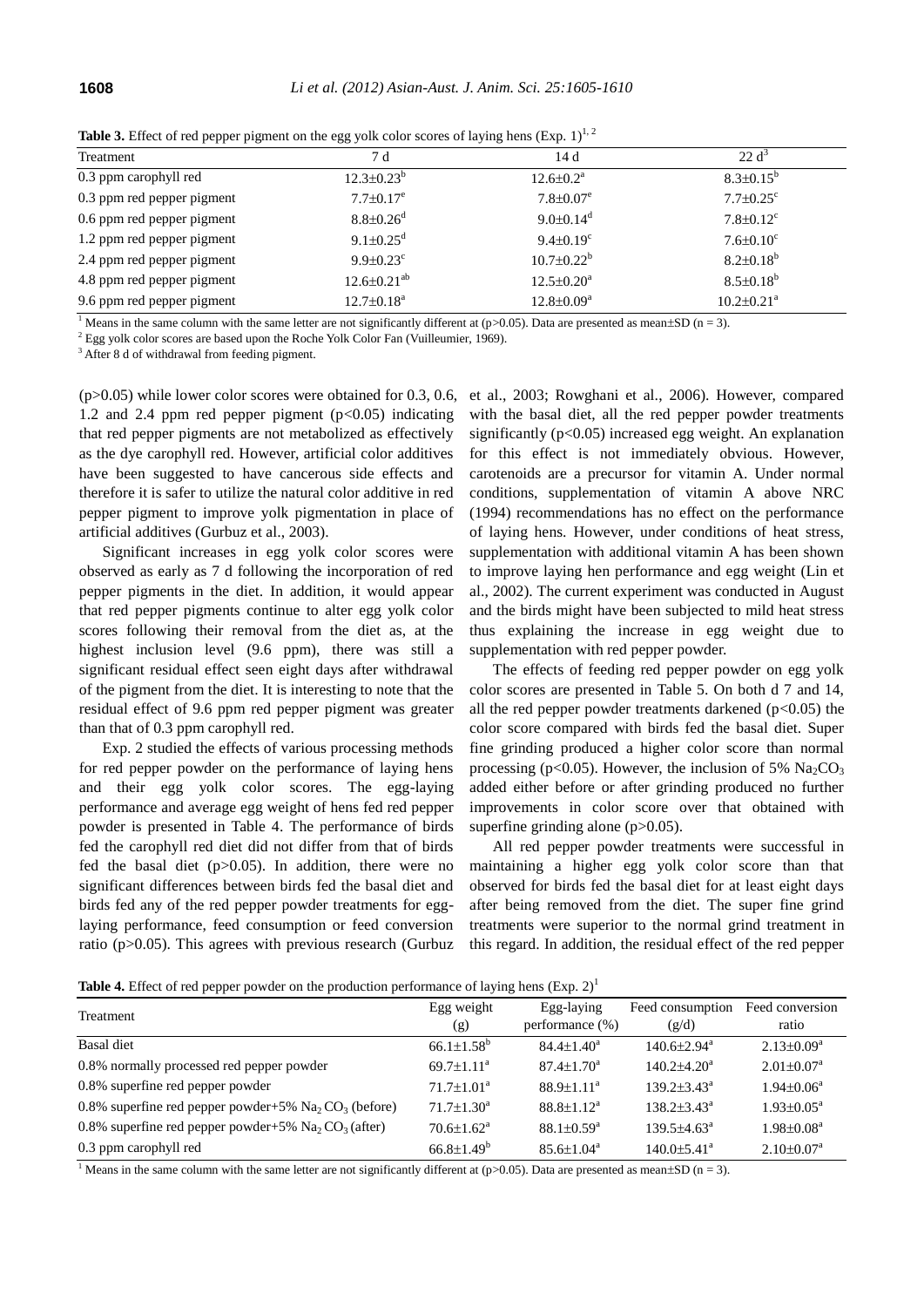| Treatment                  | 7 d                         | 14d                          | 22 d <sup>3</sup>            |
|----------------------------|-----------------------------|------------------------------|------------------------------|
| 0.3 ppm carophyll red      | $12.3 \pm 0.23^b$           | $12.6 \pm 0.2^{\text{a}}$    | $8.3 \pm 0.15^{\circ}$       |
| 0.3 ppm red pepper pigment | $7.7 \pm 0.17$ <sup>e</sup> | $7.8 \pm 0.07$ <sup>e</sup>  | $7.7 \pm 0.25$ <sup>c</sup>  |
| 0.6 ppm red pepper pigment | $8.8 \pm 0.26$ <sup>d</sup> | $9.0 \pm 0.14$ <sup>d</sup>  | $7.8 \pm 0.12$ <sup>c</sup>  |
| 1.2 ppm red pepper pigment | 9.1 $\pm$ 0.25 <sup>d</sup> | $9.4 \pm 0.19$ <sup>c</sup>  | $7.6 \pm 0.10^c$             |
| 2.4 ppm red pepper pigment | $9.9 \pm 0.23$ °            | $10.7 \pm 0.22^b$            | $8.2 \pm 0.18^b$             |
| 4.8 ppm red pepper pigment | $12.6 \pm 0.21^{ab}$        | $12.5 \pm 0.20^a$            | $8.5 \pm 0.18^b$             |
| 9.6 ppm red pepper pigment | $12.7 \pm 0.18^a$           | $12.8 \pm 0.09^{\mathrm{a}}$ | $10.2 \pm 0.21$ <sup>a</sup> |

**Table 3.** Effect of red pepper pigment on the egg yolk color scores of laying hens (Exp. 1)<sup>1, 2</sup>

<sup>1</sup> Means in the same column with the same letter are not significantly different at (p>0.05). Data are presented as mean $\pm SD$  (n = 3).

 $2$  Egg yolk color scores are based upon the Roche Yolk Color Fan (Vuilleumier, 1969).

<sup>3</sup> After 8 d of withdrawal from feeding pigment.

 $(p>0.05)$  while lower color scores were obtained for 0.3, 0.6, 1.2 and 2.4 ppm red pepper pigment  $(p<0.05)$  indicating that red pepper pigments are not metabolized as effectively as the dye carophyll red. However, artificial color additives have been suggested to have cancerous side effects and therefore it is safer to utilize the natural color additive in red pepper pigment to improve yolk pigmentation in place of artificial additives (Gurbuz et al., 2003).

Significant increases in egg yolk color scores were observed as early as 7 d following the incorporation of red pepper pigments in the diet. In addition, it would appear that red pepper pigments continue to alter egg yolk color scores following their removal from the diet as, at the highest inclusion level (9.6 ppm), there was still a significant residual effect seen eight days after withdrawal of the pigment from the diet. It is interesting to note that the residual effect of 9.6 ppm red pepper pigment was greater than that of 0.3 ppm carophyll red.

Exp. 2 studied the effects of various processing methods for red pepper powder on the performance of laying hens and their egg yolk color scores. The egg-laying performance and average egg weight of hens fed red pepper powder is presented in Table 4. The performance of birds fed the carophyll red diet did not differ from that of birds fed the basal diet  $(p>0.05)$ . In addition, there were no significant differences between birds fed the basal diet and birds fed any of the red pepper powder treatments for egglaying performance, feed consumption or feed conversion ratio (p>0.05). This agrees with previous research (Gurbuz

et al., 2003; Rowghani et al., 2006). However, compared with the basal diet, all the red pepper powder treatments significantly  $(p<0.05)$  increased egg weight. An explanation for this effect is not immediately obvious. However, carotenoids are a precursor for vitamin A. Under normal conditions, supplementation of vitamin A above NRC (1994) recommendations has no effect on the performance of laying hens. However, under conditions of heat stress, supplementation with additional vitamin A has been shown to improve laying hen performance and egg weight (Lin et al., 2002). The current experiment was conducted in August and the birds might have been subjected to mild heat stress thus explaining the increase in egg weight due to supplementation with red pepper powder.

The effects of feeding red pepper powder on egg yolk color scores are presented in Table 5. On both d 7 and 14, all the red pepper powder treatments darkened  $(p<0.05)$  the color score compared with birds fed the basal diet. Super fine grinding produced a higher color score than normal processing (p<0.05). However, the inclusion of 5%  $\text{Na}_2\text{CO}_3$ added either before or after grinding produced no further improvements in color score over that obtained with superfine grinding alone  $(p>0.05)$ .

All red pepper powder treatments were successful in maintaining a higher egg yolk color score than that observed for birds fed the basal diet for at least eight days after being removed from the diet. The super fine grind treatments were superior to the normal grind treatment in this regard. In addition, the residual effect of the red pepper

**Table 4.** Effect of red pepper powder on the production performance of laying hens  $(Exp. 2)^1$ 

| $\mathbf{1}$                                          |                              |                              |                               |                              |
|-------------------------------------------------------|------------------------------|------------------------------|-------------------------------|------------------------------|
| Treatment                                             | Egg weight                   | Egg-laying                   | Feed consumption              | Feed conversion              |
|                                                       | (g)                          | performance $(\%)$           | (g/d)                         | ratio                        |
| Basal diet                                            | $66.1 \pm 1.58$ <sup>b</sup> | $84.4 \pm 1.40^a$            | $140.6 \pm 2.94$ <sup>a</sup> | $2.13 \pm 0.09^a$            |
| 0.8% normally processed red pepper powder             | $69.7 \pm 1.11^a$            | $87.4 \pm 1.70^a$            | $140.2 \pm 4.20$ <sup>a</sup> | $2.01 \pm 0.07^{\text{a}}$   |
| 0.8% superfine red pepper powder                      | $71.7 \pm 1.01^a$            | $88.9 \pm 1.11^a$            | $139.2 \pm 3.43^a$            | $1.94 \pm 0.06^a$            |
| 0.8% superfine red pepper powder+5% $Na2CO3$ (before) | $71.7 \pm 1.30^a$            | $88.8 \pm 1.12^a$            | $138.2 \pm 3.43^{\circ}$      | $1.93 \pm 0.05^{\text{a}}$   |
| 0.8% superfine red pepper powder+5% $Na2CO3$ (after)  | $70.6 \pm 1.62$ <sup>a</sup> | $88.1 \pm 0.59$ <sup>a</sup> | $139.5 + 4.63^a$              | $1.98 \pm 0.08^a$            |
| 0.3 ppm carophyll red                                 | $66.8 \pm 1.49^b$            | $85.6 \pm 1.04^{\circ}$      | $140.0 \pm 5.41$ <sup>a</sup> | $2.10 \pm 0.07$ <sup>a</sup> |

<sup>1</sup> Means in the same column with the same letter are not significantly different at (p>0.05). Data are presented as mean $\pm$ SD (n = 3).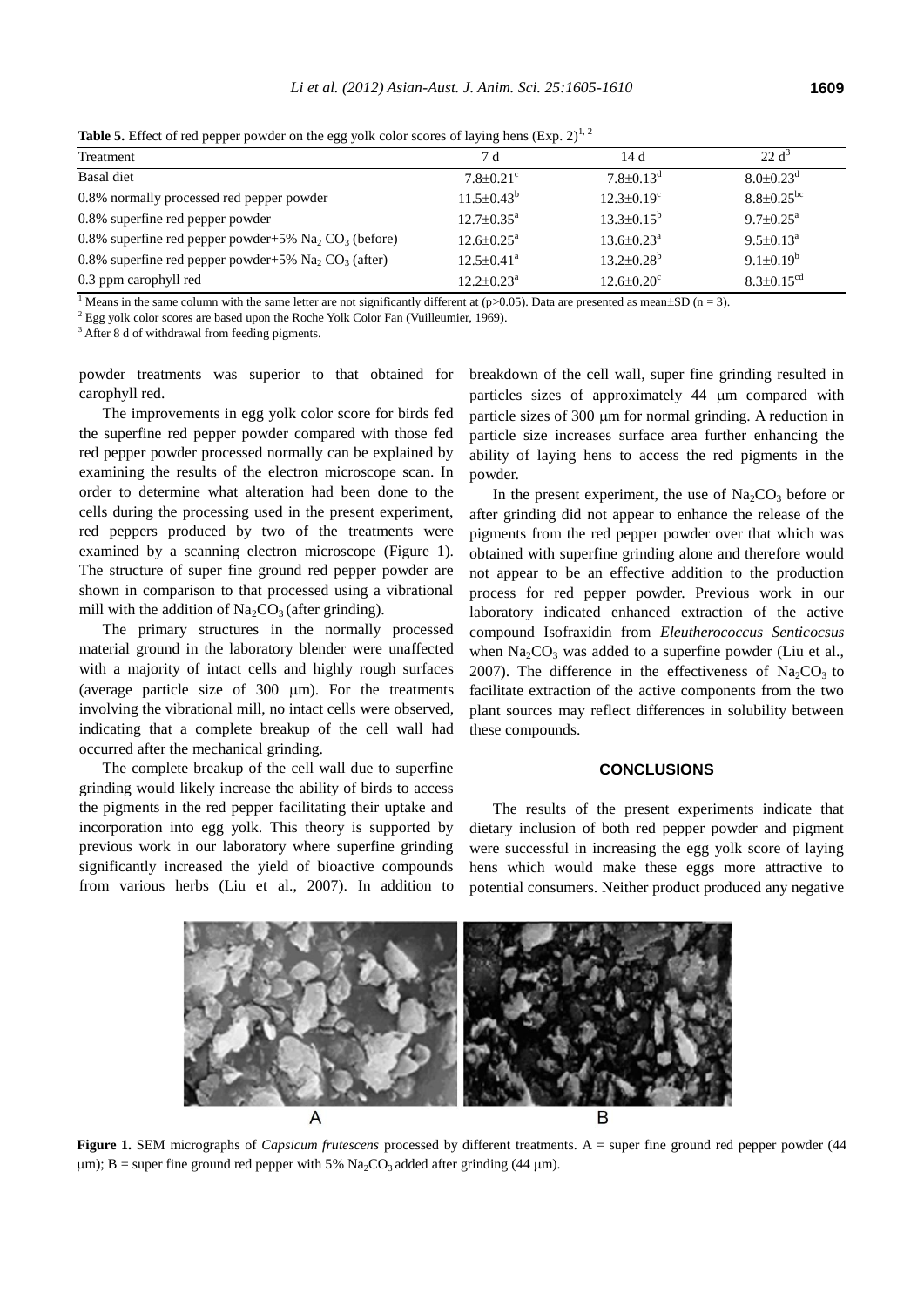| $\frac{1}{2}$ and $\frac{1}{2}$ and $\frac{1}{2}$ are proper power on the exp. Tom exist section of the finite $\frac{1}{2}$ |                              |                              |  |  |
|------------------------------------------------------------------------------------------------------------------------------|------------------------------|------------------------------|--|--|
| 7 d                                                                                                                          | 14 d                         | $22 d^3$                     |  |  |
| $7.8 + 0.21$ °                                                                                                               | $7.8 + 0.13^d$               | $8.0 + 0.23^d$               |  |  |
| $11.5 \pm 0.43^b$                                                                                                            | $12.3 \pm 0.19^c$            | $8.8 \pm 0.25$ <sup>bc</sup> |  |  |
| $12.7 \pm 0.35^{\text{a}}$                                                                                                   | $13.3 \pm 0.15^b$            | $9.7 \pm 0.25^{\text{a}}$    |  |  |
| $12.6 + 0.25^a$                                                                                                              | $13.6 \pm 0.23^{\text{a}}$   | $9.5 \pm 0.13^{\circ}$       |  |  |
| $12.5 \pm 0.41^a$                                                                                                            | $13.2 \pm 0.28^b$            | $9.1 \pm 0.19^b$             |  |  |
| $12.2 \pm 0.23^a$                                                                                                            | $12.6 \pm 0.20$ <sup>c</sup> | $8.3 \pm 0.15$ <sup>cd</sup> |  |  |
|                                                                                                                              |                              |                              |  |  |

**Table 5.** Effect of red pepper powder on the egg yolk color scores of laying hens  $(Exp, 2)^{1,2}$ 

<sup>1</sup> Means in the same column with the same letter are not significantly different at (p>0.05). Data are presented as mean $\pm$ SD (n = 3).

<sup>2</sup> Egg yolk color scores are based upon the Roche Yolk Color Fan (Vuilleumier, 1969).

<sup>3</sup> After 8 d of withdrawal from feeding pigments.

powder treatments was superior to that obtained for carophyll red.

The improvements in egg yolk color score for birds fed the superfine red pepper powder compared with those fed red pepper powder processed normally can be explained by examining the results of the electron microscope scan. In order to determine what alteration had been done to the cells during the processing used in the present experiment, red peppers produced by two of the treatments were examined by a scanning electron microscope (Figure 1). The structure of super fine ground red pepper powder are shown in comparison to that processed using a vibrational mill with the addition of  $Na<sub>2</sub>CO<sub>3</sub>$  (after grinding).

The primary structures in the normally processed material ground in the laboratory blender were unaffected with a majority of intact cells and highly rough surfaces (average particle size of  $300 \mu m$ ). For the treatments involving the vibrational mill, no intact cells were observed, indicating that a complete breakup of the cell wall had occurred after the mechanical grinding.

The complete breakup of the cell wall due to superfine grinding would likely increase the ability of birds to access the pigments in the red pepper facilitating their uptake and incorporation into egg yolk. This theory is supported by previous work in our laboratory where superfine grinding significantly increased the yield of bioactive compounds from various herbs (Liu et al., 2007). In addition to breakdown of the cell wall, super fine grinding resulted in particles sizes of approximately 44  $\mu$ m compared with particle sizes of 300  $\mu$ m for normal grinding. A reduction in particle size increases surface area further enhancing the ability of laying hens to access the red pigments in the powder.

In the present experiment, the use of  $\text{Na}_2\text{CO}_3$  before or after grinding did not appear to enhance the release of the pigments from the red pepper powder over that which was obtained with superfine grinding alone and therefore would not appear to be an effective addition to the production process for red pepper powder. Previous work in our laboratory indicated enhanced extraction of the active compound Isofraxidin from *Eleutherococcus Senticocsus*  when  $Na<sub>2</sub>CO<sub>3</sub>$  was added to a superfine powder (Liu et al., 2007). The difference in the effectiveness of  $\text{Na}_2\text{CO}_3$  to facilitate extraction of the active components from the two plant sources may reflect differences in solubility between these compounds.

#### **CONCLUSIONS**

The results of the present experiments indicate that dietary inclusion of both red pepper powder and pigment were successful in increasing the egg yolk score of laying hens which would make these eggs more attractive to potential consumers. Neither product produced any negative



Figure 1. SEM micrographs of *Capsicum frutescens* processed by different treatments. A = super fine ground red pepper powder (44  $\mu$ m); B = super fine ground red pepper with 5% Na<sub>2</sub>CO<sub>3</sub> added after grinding (44  $\mu$ m).